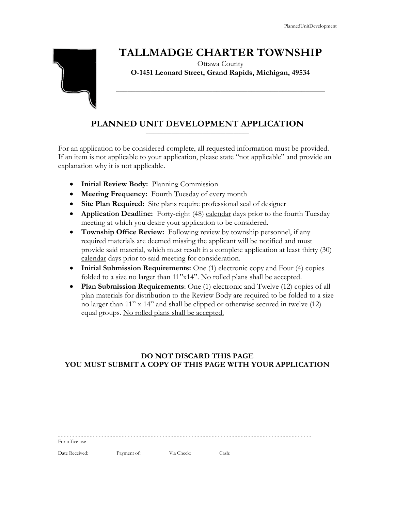# **TALLMADGE CHARTER TOWNSHIP**



Ottawa County **O-1451 Leonard Street, Grand Rapids, Michigan, 49534**

**\_\_\_\_\_\_\_\_\_\_\_\_\_\_\_\_\_\_\_\_\_\_\_\_\_\_\_\_\_\_\_\_\_\_\_\_\_\_\_\_\_\_\_\_\_\_\_\_\_\_\_\_\_\_**

### **PLANNED UNIT DEVELOPMENT APPLICATION** \_\_\_\_\_\_\_\_\_\_\_\_\_\_\_\_\_\_\_\_\_\_\_\_\_\_\_\_\_\_\_\_\_\_\_\_\_\_\_\_

For an application to be considered complete, all requested information must be provided. If an item is not applicable to your application, please state "not applicable" and provide an explanation why it is not applicable.

- **Initial Review Body:** Planning Commission
- **Meeting Frequency:** Fourth Tuesday of every month
- **Site Plan Required:** Site plans require professional seal of designer
- **Application Deadline:** Forty-eight (48) calendar days prior to the fourth Tuesday meeting at which you desire your application to be considered.
- **Township Office Review:** Following review by township personnel, if any required materials are deemed missing the applicant will be notified and must provide said material, which must result in a complete application at least thirty (30) calendar days prior to said meeting for consideration.
- **Initial Submission Requirements:** One (1) electronic copy and Four (4) copies folded to a size no larger than 11"x14". No rolled plans shall be accepted.
- **Plan Submission Requirements**: One (1) electronic and Twelve (12) copies of all plan materials for distribution to the Review Body are required to be folded to a size no larger than 11" x 14" and shall be clipped or otherwise secured in twelve (12) equal groups. No rolled plans shall be accepted.

# **DO NOT DISCARD THIS PAGE YOU MUST SUBMIT A COPY OF THIS PAGE WITH YOUR APPLICATION**

| For office use |  |  |
|----------------|--|--|
|                |  |  |

Date Received: \_\_\_\_\_\_\_\_\_\_\_\_\_ Payment of: \_\_\_\_\_\_\_\_\_\_\_\_\_ Via Check: \_\_\_\_\_\_\_\_\_\_\_ Cash: \_\_\_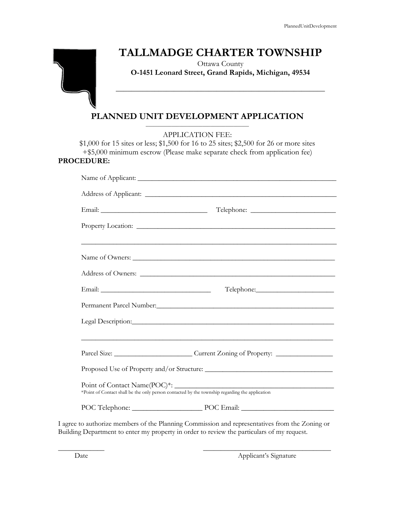# **TALLMADGE CHARTER TOWNSHIP**



Ottawa County **O-1451 Leonard Street, Grand Rapids, Michigan, 49534**

**\_\_\_\_\_\_\_\_\_\_\_\_\_\_\_\_\_\_\_\_\_\_\_\_\_\_\_\_\_\_\_\_\_\_\_\_\_\_\_\_\_\_\_\_\_\_\_\_\_\_\_\_\_\_**

#### **PLANNED UNIT DEVELOPMENT APPLICATION** \_\_\_\_\_\_\_\_\_\_\_\_\_\_\_\_\_\_\_\_\_\_\_\_\_\_\_\_\_\_\_\_\_\_\_\_\_\_\_\_

APPLICATION FEE:

\$1,000 for 15 sites or less; \$1,500 for 16 to 25 sites; \$2,500 for 26 or more sites +\$5,000 minimum escrow (Please make separate check from application fee) **PROCEDURE:**

|                                                                                                                 | Parcel Size: ___________________________Current Zoning of Property: _____________                                              |  |  |
|-----------------------------------------------------------------------------------------------------------------|--------------------------------------------------------------------------------------------------------------------------------|--|--|
|                                                                                                                 |                                                                                                                                |  |  |
|                                                                                                                 | Point of Contact Name(POC)*:<br>*Point of Contact shall be the only person contacted by the township regarding the application |  |  |
|                                                                                                                 | POC Telephone: POC Email: POC Email:                                                                                           |  |  |
| the contract of the contract of the contract of the contract of the contract of the contract of the contract of | the contract of the contract of the contract of the contract of the contract of the contract of the contract of                |  |  |

I agree to authorize members of the Planning Commission and representatives from the Zoning or Building Department to enter my property in order to review the particulars of my request.

\_\_\_\_\_\_\_\_\_\_\_\_\_ \_\_\_\_\_\_\_\_\_\_\_\_\_\_\_\_\_\_\_\_\_\_\_\_\_\_\_\_\_\_\_\_\_\_\_\_